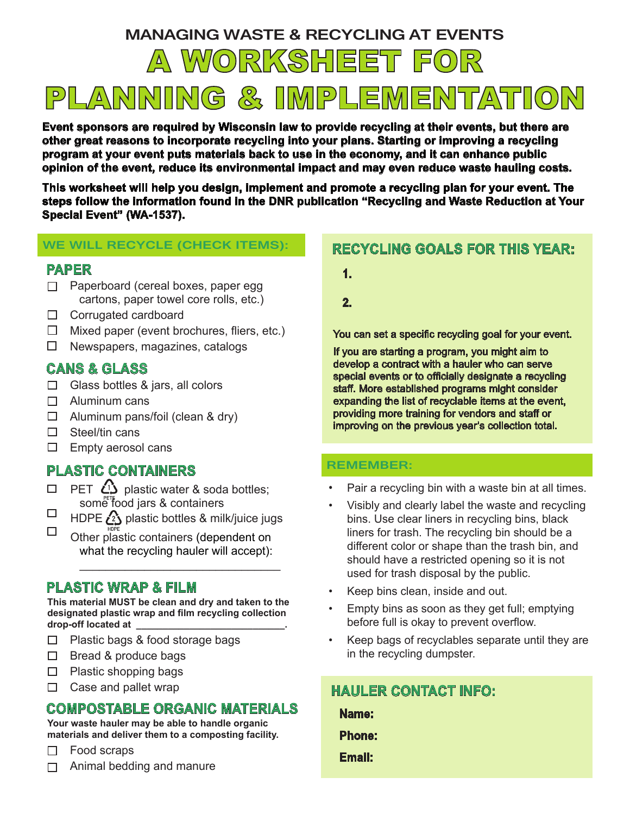# **MANAGING WASTE & RECYCLING AT EVENTS**

A WORKSHEET FOR

PLANNING & IMPLEMENTATION

**Event sponsors are required by Wisconsin law to provide recycling at their events, but there are other great reasons to incorporate recycling into your plans. Starting or improving a recycling program at your event puts materials back to use in the economy, and it can enhance public opinion of the event, reduce its environmental impact and may even reduce waste hauling costs.**

**This worksheet will help you design, implement and promote a recycling plan for your event. The steps follow the information found in the DNR publication "Recycling and Waste Reduction at Your Special Event" (WA-1537).**

#### **WE WILL RECYCLE (CHECK ITEMS):**

#### **PAPER**

- $\Box$  Paperboard (cereal boxes, paper egg cartons, paper towel core rolls, etc.)
- П. Corrugated cardboard
- $\Box$ Mixed paper (event brochures, fliers, etc.)
- $\Box$ Newspapers, magazines, catalogs

### **CANS & GLASS**

- $\Box$  Glass bottles & jars, all colors
- П. Aluminum cans
- П. Aluminum pans/foil (clean & dry)
- $\Box$ Steel/tin cans
- $\Box$ Empty aerosol cans

# **PLASTIC CONTAINERS**

- PET  $\Omega$  plastic water & soda bottles;  $\Box$ some food jars & containers
- □ HDPE  $\binom{2}{2}$  plastic bottles & milk/juice jugs
- $\Box$ Other plastic containers (dependent on what the recycling hauler will accept):

### **PLASTIC WRAP & FILM**

**This material MUST be clean and dry and taken to the designated plastic wrap and film recycling collection drop-off located at \_\_\_\_\_\_\_\_\_\_\_\_\_\_\_\_\_\_\_\_\_\_\_\_\_\_\_\_.**

\_\_\_\_\_\_\_\_\_\_\_\_\_\_\_\_\_\_\_\_\_\_\_\_\_\_\_\_\_\_\_

- $\Box$  Plastic bags & food storage bags
- $\Box$  Bread & produce bags
- $\Box$  Plastic shopping bags
- $\Box$  Case and pallet wrap

## **COMPOSTABLE ORGANIC MATERIALS**

**Your waste hauler may be able to handle organic materials and deliver them to a composting facility.** 

 $\Box$ Food scraps

Animal bedding and manure  $\Box$ 

# **RECYCLING GOALS FOR THIS YEAR:**

- **1.**
- **2.**

You can set a specific recycling goal for your event.

If you are starting a program, you might aim to develop a contract with a hauler who can serve special events or to officially designate a recycling staff. More established programs might consider expanding the list of recyclable items at the event, providing more training for vendors and staff or improving on the previous year's collection total.

#### **REMEMBER:**

- Pair a recycling bin with a waste bin at all times.
- Visibly and clearly label the waste and recycling bins. Use clear liners in recycling bins, black liners for trash. The recycling bin should be a different color or shape than the trash bin, and should have a restricted opening so it is not used for trash disposal by the public.
- Keep bins clean, inside and out.
- Empty bins as soon as they get full; emptying before full is okay to prevent overflow.
- Keep bags of recyclables separate until they are in the recycling dumpster.

| <b>HAULER CONTACT INFO:</b> |  |
|-----------------------------|--|
| Name:                       |  |
| <b>Phone:</b>               |  |
| Email:                      |  |